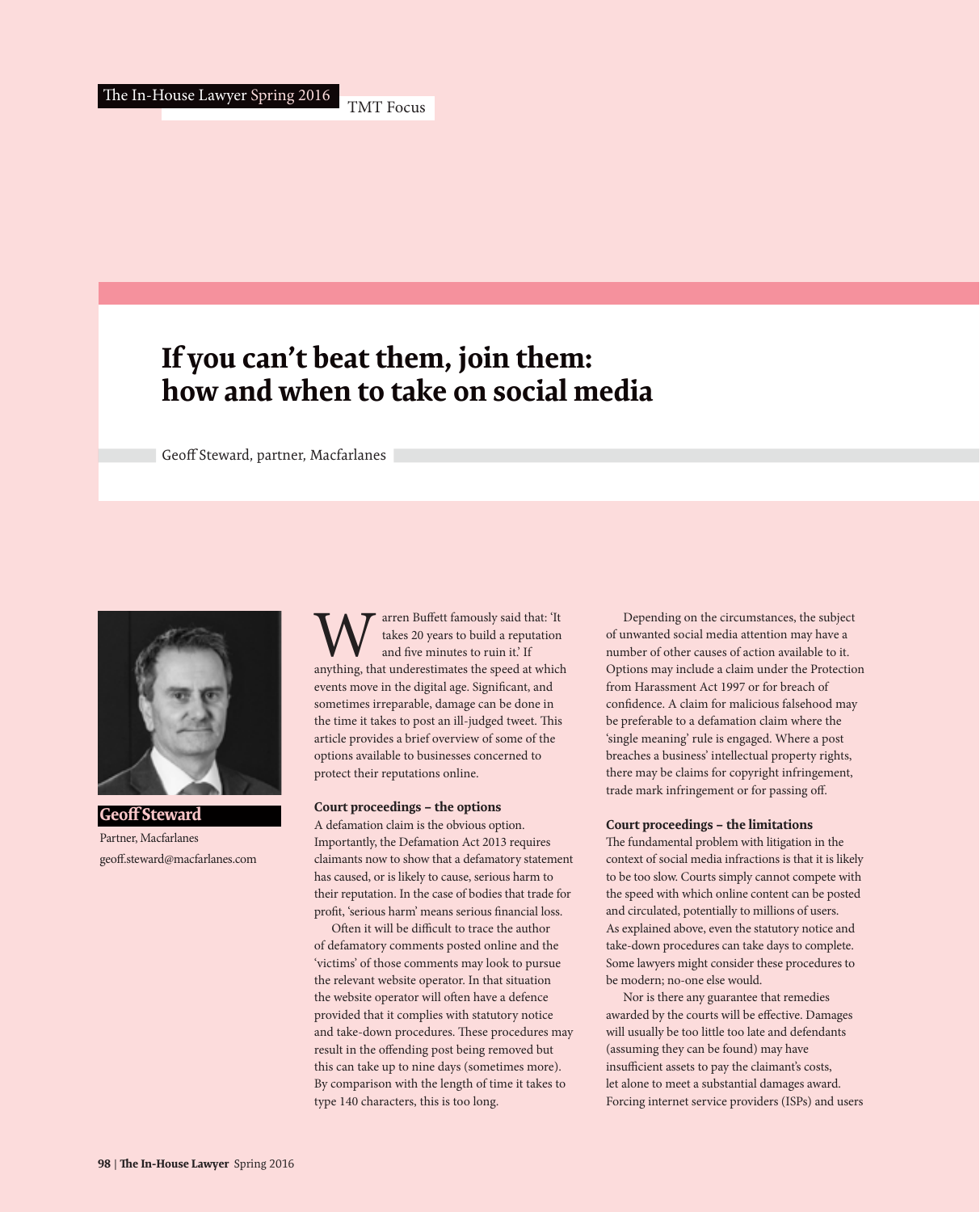# **If you can't beat them, join them: how and when to take on social media**

Geoff Steward, partner, Macfarlanes



**Geoff Steward** Partner, Macfarlanes geoff.steward@macfarlanes.com

W<br>
The takes 20 years to build a reputation<br>
and five minutes to ruin it.' If<br>
anything, that underestimates the speed at which takes 20 years to build a reputation and five minutes to ruin it.' If events move in the digital age. Significant, and sometimes irreparable, damage can be done in the time it takes to post an ill-judged tweet. This article provides a brief overview of some of the options available to businesses concerned to protect their reputations online.

### **Court proceedings – the options**

A defamation claim is the obvious option. Importantly, the Defamation Act 2013 requires claimants now to show that a defamatory statement has caused, or is likely to cause, serious harm to their reputation. In the case of bodies that trade for profit, 'serious harm' means serious financial loss.

Often it will be difficult to trace the author of defamatory comments posted online and the 'victims' of those comments may look to pursue the relevant website operator. In that situation the website operator will often have a defence provided that it complies with statutory notice and take-down procedures. These procedures may result in the offending post being removed but this can take up to nine days (sometimes more). By comparison with the length of time it takes to type 140 characters, this is too long.

Depending on the circumstances, the subject of unwanted social media attention may have a number of other causes of action available to it. Options may include a claim under the Protection from Harassment Act 1997 or for breach of confidence. A claim for malicious falsehood may be preferable to a defamation claim where the 'single meaning' rule is engaged. Where a post breaches a business' intellectual property rights, there may be claims for copyright infringement, trade mark infringement or for passing off.

#### **Court proceedings – the limitations**

The fundamental problem with litigation in the context of social media infractions is that it is likely to be too slow. Courts simply cannot compete with the speed with which online content can be posted and circulated, potentially to millions of users. As explained above, even the statutory notice and take-down procedures can take days to complete. Some lawyers might consider these procedures to be modern; no-one else would.

Nor is there any guarantee that remedies awarded by the courts will be effective. Damages will usually be too little too late and defendants (assuming they can be found) may have insufficient assets to pay the claimant's costs, let alone to meet a substantial damages award. Forcing internet service providers (ISPs) and users